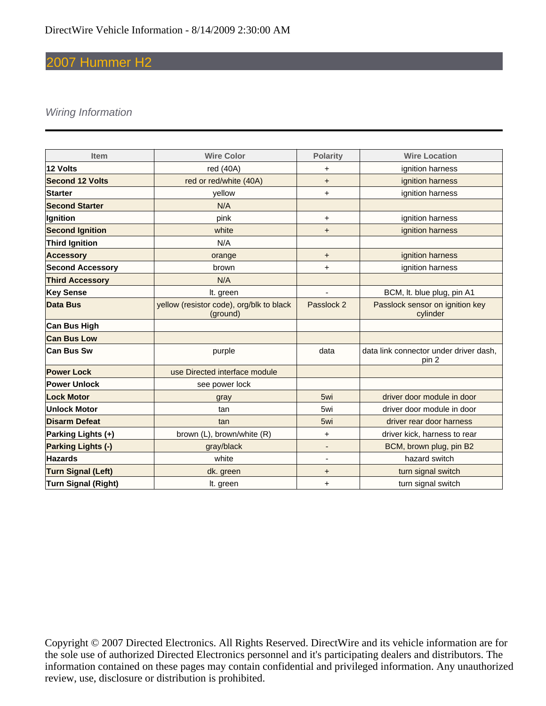# 2007 Hummer H2

#### Wiring Information

| <b>Item</b>                             | <b>Wire Color</b>                                    | <b>Polarity</b>              | <b>Wire Location</b>                            |
|-----------------------------------------|------------------------------------------------------|------------------------------|-------------------------------------------------|
| 12 Volts                                | red (40A)                                            | +                            | ignition harness                                |
| <b>Second 12 Volts</b>                  | red or red/white (40A)                               | $\ddot{}$                    | ignition harness                                |
| <b>Starter</b>                          | yellow                                               | +                            | ignition harness                                |
| <b>Second Starter</b>                   | N/A                                                  |                              |                                                 |
| Ignition                                | pink                                                 | $\ddot{}$                    | ignition harness                                |
| <b>Second Ignition</b>                  | white                                                | $\ddot{}$                    | ignition harness                                |
| <b>Third Ignition</b>                   | N/A                                                  |                              |                                                 |
| <b>Accessory</b>                        | orange                                               | $\ddot{}$                    | ignition harness                                |
| <b>Second Accessory</b>                 | brown                                                | +                            | ignition harness                                |
| <b>Third Accessory</b>                  | N/A                                                  |                              |                                                 |
| <b>Key Sense</b>                        | It. green                                            |                              | BCM, It. blue plug, pin A1                      |
| <b>Data Bus</b>                         | yellow (resistor code), org/blk to black<br>(ground) | Passlock 2                   | Passlock sensor on ignition key<br>cylinder     |
| <b>Can Bus High</b>                     |                                                      |                              |                                                 |
| <b>Can Bus Low</b>                      |                                                      |                              |                                                 |
| <b>Can Bus Sw</b>                       | purple                                               | data                         | data link connector under driver dash,<br>pin 2 |
| <b>Power Lock</b>                       | use Directed interface module                        |                              |                                                 |
| <b>Power Unlock</b>                     | see power lock                                       |                              |                                                 |
| <b>Lock Motor</b>                       | gray                                                 | 5wi                          | driver door module in door                      |
| <b>Unlock Motor</b>                     | tan                                                  | 5wi                          | driver door module in door                      |
| <b>Disarm Defeat</b>                    | tan                                                  | 5wi                          | driver rear door harness                        |
| Parking Lights (+)                      | brown (L), brown/white (R)                           | +                            | driver kick, harness to rear                    |
| <b>Parking Lights (-)</b><br>gray/black |                                                      | $\qquad \qquad \blacksquare$ | BCM, brown plug, pin B2                         |
| <b>Hazards</b>                          | white                                                | $\blacksquare$               | hazard switch                                   |
| <b>Turn Signal (Left)</b>               | dk. green                                            | +                            | turn signal switch                              |
| <b>Turn Signal (Right)</b>              | It. green                                            | +                            | turn signal switch                              |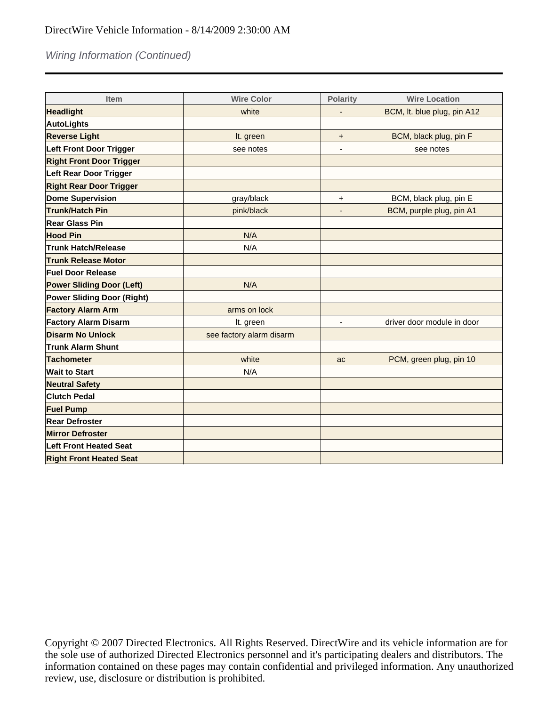## Wiring Information (Continued)

| Item                              | <b>Wire Color</b>        | <b>Polarity</b>          | <b>Wire Location</b>        |
|-----------------------------------|--------------------------|--------------------------|-----------------------------|
| <b>Headlight</b>                  | white                    |                          | BCM, It. blue plug, pin A12 |
| <b>AutoLights</b>                 |                          |                          |                             |
| <b>Reverse Light</b>              | It. green                | +                        | BCM, black plug, pin F      |
| <b>Left Front Door Trigger</b>    | see notes                |                          | see notes                   |
| <b>Right Front Door Trigger</b>   |                          |                          |                             |
| <b>Left Rear Door Trigger</b>     |                          |                          |                             |
| <b>Right Rear Door Trigger</b>    |                          |                          |                             |
| <b>Dome Supervision</b>           | gray/black               | $\ddot{}$                | BCM, black plug, pin E      |
| <b>Trunk/Hatch Pin</b>            | pink/black               |                          | BCM, purple plug, pin A1    |
| <b>Rear Glass Pin</b>             |                          |                          |                             |
| <b>Hood Pin</b>                   | N/A                      |                          |                             |
| <b>Trunk Hatch/Release</b>        | N/A                      |                          |                             |
| <b>Trunk Release Motor</b>        |                          |                          |                             |
| <b>Fuel Door Release</b>          |                          |                          |                             |
| <b>Power Sliding Door (Left)</b>  | N/A                      |                          |                             |
| <b>Power Sliding Door (Right)</b> |                          |                          |                             |
| <b>Factory Alarm Arm</b>          | arms on lock             |                          |                             |
| <b>Factory Alarm Disarm</b>       | It. green                | $\overline{\phantom{a}}$ | driver door module in door  |
| <b>Disarm No Unlock</b>           | see factory alarm disarm |                          |                             |
| <b>Trunk Alarm Shunt</b>          |                          |                          |                             |
| <b>Tachometer</b>                 | white                    | ac                       | PCM, green plug, pin 10     |
| <b>Wait to Start</b>              | N/A                      |                          |                             |
| <b>Neutral Safety</b>             |                          |                          |                             |
| <b>Clutch Pedal</b>               |                          |                          |                             |
| <b>Fuel Pump</b>                  |                          |                          |                             |
| <b>Rear Defroster</b>             |                          |                          |                             |
| <b>Mirror Defroster</b>           |                          |                          |                             |
| <b>Left Front Heated Seat</b>     |                          |                          |                             |
| <b>Right Front Heated Seat</b>    |                          |                          |                             |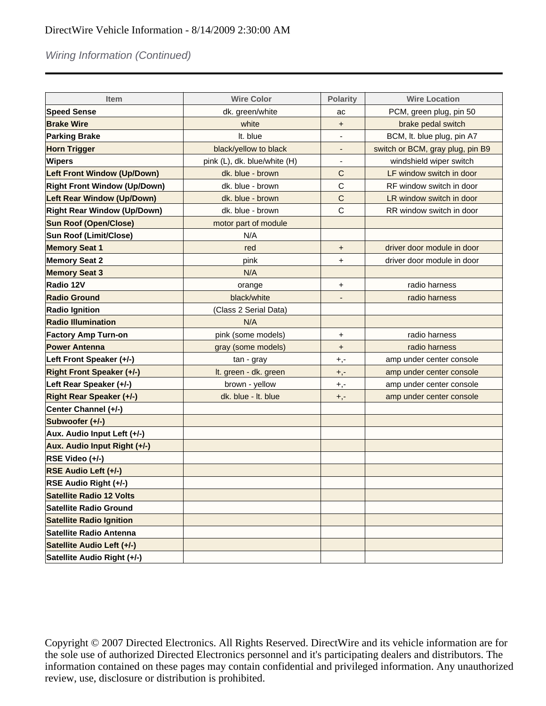## Wiring Information (Continued)

| <b>Item</b>                         | <b>Wire Color</b>            | <b>Polarity</b>          | <b>Wire Location</b>             |
|-------------------------------------|------------------------------|--------------------------|----------------------------------|
| <b>Speed Sense</b>                  | dk. green/white              | ac                       | PCM, green plug, pin 50          |
| <b>Brake Wire</b>                   | white                        | $\pmb{+}$                | brake pedal switch               |
| <b>Parking Brake</b>                | It. blue                     | $\overline{\phantom{a}}$ | BCM, It. blue plug, pin A7       |
| <b>Horn Trigger</b>                 | black/yellow to black        | $\overline{\phantom{a}}$ | switch or BCM, gray plug, pin B9 |
| <b>Wipers</b>                       | pink (L), dk. blue/white (H) |                          | windshield wiper switch          |
| <b>Left Front Window (Up/Down)</b>  | dk. blue - brown             | $\mathsf C$              | LF window switch in door         |
| <b>Right Front Window (Up/Down)</b> | dk. blue - brown             | $\mathsf C$              | RF window switch in door         |
| Left Rear Window (Up/Down)          | dk. blue - brown             | $\mathsf{C}$             | LR window switch in door         |
| <b>Right Rear Window (Up/Down)</b>  | dk. blue - brown             | $\mathsf{C}$             | RR window switch in door         |
| <b>Sun Roof (Open/Close)</b>        | motor part of module         |                          |                                  |
| <b>Sun Roof (Limit/Close)</b>       | N/A                          |                          |                                  |
| <b>Memory Seat 1</b>                | red                          | $\ddot{}$                | driver door module in door       |
| <b>Memory Seat 2</b>                | pink                         | +                        | driver door module in door       |
| <b>Memory Seat 3</b>                | N/A                          |                          |                                  |
| Radio 12V                           | orange                       | +                        | radio harness                    |
| <b>Radio Ground</b>                 | black/white                  |                          | radio harness                    |
| <b>Radio Ignition</b>               | (Class 2 Serial Data)        |                          |                                  |
| <b>Radio Illumination</b>           | N/A                          |                          |                                  |
| <b>Factory Amp Turn-on</b>          | pink (some models)           | +                        | radio harness                    |
| <b>Power Antenna</b>                | gray (some models)           | $\pmb{+}$                | radio harness                    |
| Left Front Speaker (+/-)            | tan - gray                   | $+,-$                    | amp under center console         |
| <b>Right Front Speaker (+/-)</b>    | It. green - dk. green        | $+,-$                    | amp under center console         |
| Left Rear Speaker (+/-)             | brown - yellow               | $+,-$                    | amp under center console         |
| <b>Right Rear Speaker (+/-)</b>     | dk. blue - It. blue          | $+,-$                    | amp under center console         |
| Center Channel (+/-)                |                              |                          |                                  |
| Subwoofer (+/-)                     |                              |                          |                                  |
| Aux. Audio Input Left (+/-)         |                              |                          |                                  |
| Aux. Audio Input Right (+/-)        |                              |                          |                                  |
| RSE Video (+/-)                     |                              |                          |                                  |
| RSE Audio Left (+/-)                |                              |                          |                                  |
| RSE Audio Right (+/-)               |                              |                          |                                  |
| <b>Satellite Radio 12 Volts</b>     |                              |                          |                                  |
| <b>Satellite Radio Ground</b>       |                              |                          |                                  |
| <b>Satellite Radio Ignition</b>     |                              |                          |                                  |
| <b>Satellite Radio Antenna</b>      |                              |                          |                                  |
| Satellite Audio Left (+/-)          |                              |                          |                                  |
| Satellite Audio Right (+/-)         |                              |                          |                                  |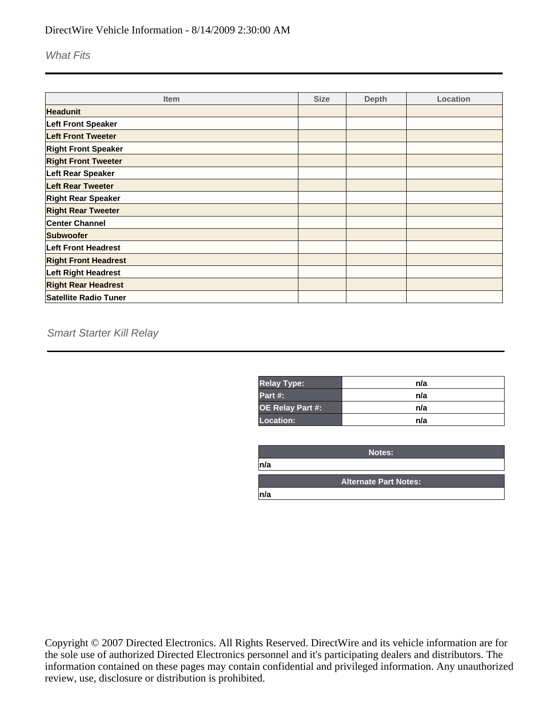What Fits

| <b>Item</b>                  | <b>Size</b> | Depth | Location |
|------------------------------|-------------|-------|----------|
| <b>Headunit</b>              |             |       |          |
| Left Front Speaker           |             |       |          |
| <b>Left Front Tweeter</b>    |             |       |          |
| <b>Right Front Speaker</b>   |             |       |          |
| <b>Right Front Tweeter</b>   |             |       |          |
| Left Rear Speaker            |             |       |          |
| <b>Left Rear Tweeter</b>     |             |       |          |
| <b>Right Rear Speaker</b>    |             |       |          |
| <b>Right Rear Tweeter</b>    |             |       |          |
| <b>Center Channel</b>        |             |       |          |
| Subwoofer                    |             |       |          |
| <b>Left Front Headrest</b>   |             |       |          |
| <b>Right Front Headrest</b>  |             |       |          |
| <b>Left Right Headrest</b>   |             |       |          |
| <b>Right Rear Headrest</b>   |             |       |          |
| <b>Satellite Radio Tuner</b> |             |       |          |

Smart Starter Kill Relay

| <b>Relay Type:</b> | n/a |
|--------------------|-----|
| Part #:            | n/a |
| OE Relay Part #:   | n/a |
| Location:          | n/a |

|     | Notes:                       |  |
|-----|------------------------------|--|
| n/a |                              |  |
|     | <b>Alternate Part Notes:</b> |  |
| n/a |                              |  |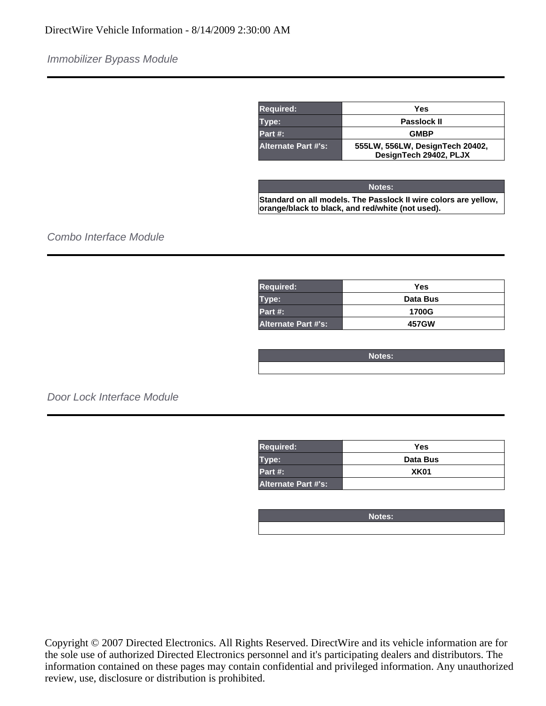#### Immobilizer Bypass Module

| <b>Required:</b>           | Yes                                                       |
|----------------------------|-----------------------------------------------------------|
| Type:                      | <b>Passlock II</b>                                        |
| Part #:                    | <b>GMBP</b>                                               |
| <b>Alternate Part #'s:</b> | 555LW, 556LW, DesignTech 20402,<br>DesignTech 29402, PLJX |

| Notes:                                                          |
|-----------------------------------------------------------------|
| Standard on all models. The Passlock II wire colors are yellow, |
| orange/black to black, and red/white (not used).                |

Combo Interface Module

| <b>Required:</b>           | Yes      |
|----------------------------|----------|
| Type:                      | Data Bus |
| Part #:                    | 1700G    |
| <b>Alternate Part #'s:</b> | 457GW    |

**Notes:**

Door Lock Interface Module

| <b>Required:</b>           | Yes              |
|----------------------------|------------------|
| Type:                      | Data Bus         |
| Part #:                    | XK <sub>01</sub> |
| <b>Alternate Part #'s:</b> |                  |

| Notes: |
|--------|
|        |